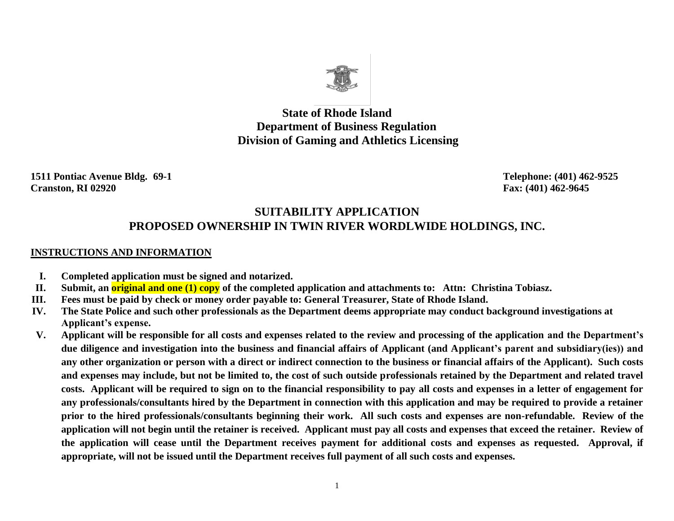

**State of Rhode Island Department of Business Regulation Division of Gaming and Athletics Licensing**

**1511 Pontiac Avenue Bldg. 69-1 Telephone: (401) 462-9525 Cranston, RI 02920 Fax: (401) 462-9645**

# **SUITABILITY APPLICATION PROPOSED OWNERSHIP IN TWIN RIVER WORDLWIDE HOLDINGS, INC.**

#### **INSTRUCTIONS AND INFORMATION**

- **I. Completed application must be signed and notarized.**
- **II. Submit, an original and one (1) copy of the completed application and attachments to: Attn: Christina Tobiasz.**
- **III. Fees must be paid by check or money order payable to: General Treasurer, State of Rhode Island.**
- **IV. The State Police and such other professionals as the Department deems appropriate may conduct background investigations at Applicant's expense.**
- **V. Applicant will be responsible for all costs and expenses related to the review and processing of the application and the Department's due diligence and investigation into the business and financial affairs of Applicant (and Applicant's parent and subsidiary(ies)) and any other organization or person with a direct or indirect connection to the business or financial affairs of the Applicant). Such costs and expenses may include, but not be limited to, the cost of such outside professionals retained by the Department and related travel costs. Applicant will be required to sign on to the financial responsibility to pay all costs and expenses in a letter of engagement for any professionals/consultants hired by the Department in connection with this application and may be required to provide a retainer prior to the hired professionals/consultants beginning their work. All such costs and expenses are non-refundable. Review of the application will not begin until the retainer is received. Applicant must pay all costs and expenses that exceed the retainer. Review of the application will cease until the Department receives payment for additional costs and expenses as requested. Approval, if appropriate, will not be issued until the Department receives full payment of all such costs and expenses.**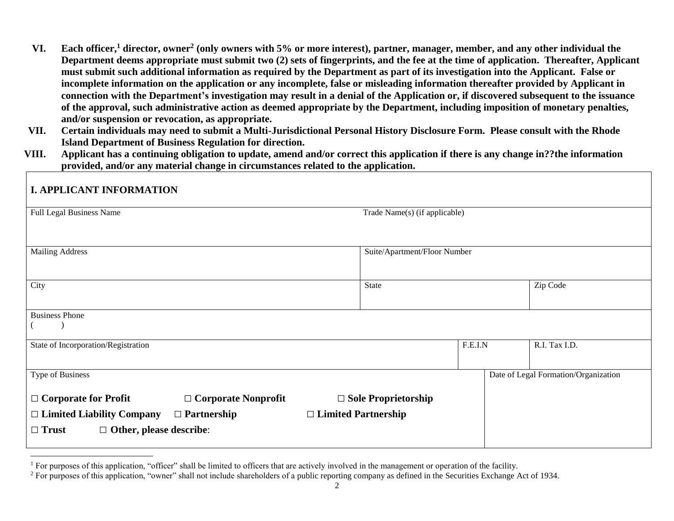- **VI. Each officer,<sup>1</sup> director, owner<sup>2</sup> (only owners with 5% or more interest), partner, manager, member, and any other individual the Department deems appropriate must submit two (2) sets of fingerprints, and the fee at the time of application. Thereafter, Applicant must submit such additional information as required by the Department as part of its investigation into the Applicant. False or incomplete information on the application or any incomplete, false or misleading information thereafter provided by Applicant in connection with the Department's investigation may result in a denial of the Application or, if discovered subsequent to the issuance of the approval, such administrative action as deemed appropriate by the Department, including imposition of monetary penalties, and/or suspension or revocation, as appropriate.**
- **VII. Certain individuals may need to submit a Multi-Jurisdictional Personal History Disclosure Form. Please consult with the Rhode Island Department of Business Regulation for direction.**
- **VIII. Applicant has a continuing obligation to update, amend and/or correct this application if there is any change in??the information provided, and/or any material change in circumstances related to the application.**

| <b>I. APPLICANT INFORMATION</b>                                                                                                                                                                     |                               |                                      |
|-----------------------------------------------------------------------------------------------------------------------------------------------------------------------------------------------------|-------------------------------|--------------------------------------|
| Full Legal Business Name                                                                                                                                                                            | Trade Name(s) (if applicable) |                                      |
| <b>Mailing Address</b>                                                                                                                                                                              | Suite/Apartment/Floor Number  |                                      |
| City                                                                                                                                                                                                | State                         | Zip Code                             |
| <b>Business Phone</b>                                                                                                                                                                               |                               |                                      |
| State of Incorporation/Registration                                                                                                                                                                 | F.E.I.N                       | R.I. Tax I.D.                        |
| Type of Business                                                                                                                                                                                    |                               | Date of Legal Formation/Organization |
| $\Box$ Corporate for Profit<br>$\Box$ Corporate Nonprofit<br>$\Box$ Limited Liability Company<br>$\Box$ Partnership<br>$\Box$ Limited Partnership<br>$\Box$ Other, please describe:<br>$\Box$ Trust | $\Box$ Sole Proprietorship    |                                      |

 $\overline{a}$ 

<sup>&</sup>lt;sup>1</sup> For purposes of this application, "officer" shall be limited to officers that are actively involved in the management or operation of the facility.

<sup>&</sup>lt;sup>2</sup> For purposes of this application, "owner" shall not include shareholders of a public reporting company as defined in the Securities Exchange Act of 1934.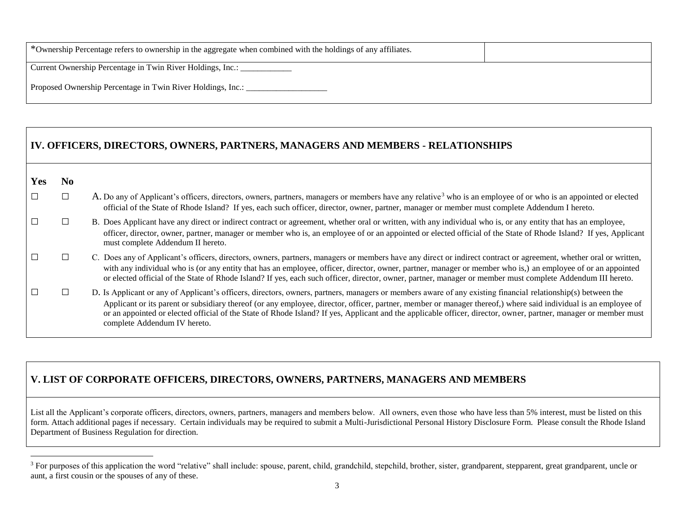| *Ownership Percentage refers to ownership in the aggregate when combined with the holdings of any affiliates. |  |
|---------------------------------------------------------------------------------------------------------------|--|
| Current Ownership Percentage in Twin River Holdings, Inc.:                                                    |  |
| Proposed Ownership Percentage in Twin River Holdings, Inc.:                                                   |  |

|  |  |  | IV. OFFICERS, DIRECTORS, OWNERS, PARTNERS, MANAGERS AND MEMBERS - RELATIONSHIPS |  |
|--|--|--|---------------------------------------------------------------------------------|--|
|  |  |  |                                                                                 |  |

| п<br>N. |
|---------|
|         |

 $\overline{a}$ 

|  | A. Do any of Applicant's officers, directors, owners, partners, managers or members have any relative <sup>3</sup> who is an employee of or who is an appointed or elected |
|--|----------------------------------------------------------------------------------------------------------------------------------------------------------------------------|
|  | official of the State of Rhode Island? If yes, each such officer, director, owner, partner, manager or member must complete Addendum I hereto.                             |

- $\Box$  B. Does Applicant have any direct or indirect contract or agreement, whether oral or written, with any individual who is, or any entity that has an employee, officer, director, owner, partner, manager or member who is, an employee of or an appointed or elected official of the State of Rhode Island? If yes, Applicant must complete Addendum II hereto.
- □ C. Does any of Applicant's officers, directors, owners, partners, managers or members have any direct or indirect contract or agreement, whether oral or written, with any individual who is (or any entity that has an employee, officer, director, owner, partner, manager or member who is,) an employee of or an appointed or elected official of the State of Rhode Island? If yes, each such officer, director, owner, partner, manager or member must complete Addendum III hereto.
- □ □ <sup>D</sup>. Is Applicant or any of Applicant's officers, directors, owners, partners, managers or members aware of any existing financial relationship(s) between the Applicant or its parent or subsidiary thereof (or any employee, director, officer, partner, member or manager thereof,) where said individual is an employee of or an appointed or elected official of the State of Rhode Island? If yes, Applicant and the applicable officer, director, owner, partner, manager or member must complete Addendum IV hereto.

# **V. LIST OF CORPORATE OFFICERS, DIRECTORS, OWNERS, PARTNERS, MANAGERS AND MEMBERS**

List all the Applicant's corporate officers, directors, owners, partners, managers and members below. All owners, even those who have less than 5% interest, must be listed on this form. Attach additional pages if necessary. Certain individuals may be required to submit a Multi-Jurisdictional Personal History Disclosure Form. Please consult the Rhode Island Department of Business Regulation for direction.

<sup>&</sup>lt;sup>3</sup> For purposes of this application the word "relative" shall include: spouse, parent, child, grandchild, stepchild, brother, sister, grandparent, stepparent, great grandparent, uncle or aunt, a first cousin or the spouses of any of these.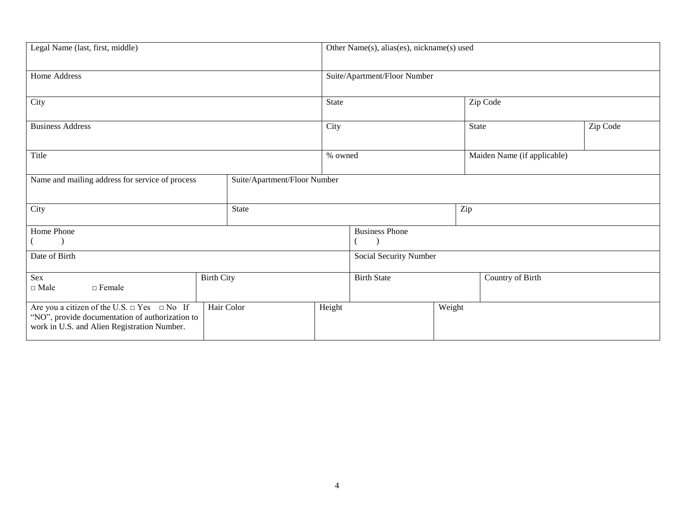| Legal Name (last, first, middle)                                                                                                                                      |  |              | Other Name(s), alias(es), nickname(s) used |  |                  |                             |          |  |
|-----------------------------------------------------------------------------------------------------------------------------------------------------------------------|--|--------------|--------------------------------------------|--|------------------|-----------------------------|----------|--|
| Home Address                                                                                                                                                          |  |              | Suite/Apartment/Floor Number               |  |                  |                             |          |  |
| City                                                                                                                                                                  |  |              | State                                      |  |                  | Zip Code                    |          |  |
| <b>Business Address</b>                                                                                                                                               |  |              | City                                       |  |                  | <b>State</b>                | Zip Code |  |
| Title                                                                                                                                                                 |  |              | % owned                                    |  |                  | Maiden Name (if applicable) |          |  |
| Name and mailing address for service of process<br>Suite/Apartment/Floor Number                                                                                       |  |              |                                            |  |                  |                             |          |  |
| City                                                                                                                                                                  |  | <b>State</b> | Zip                                        |  |                  |                             |          |  |
| Home Phone                                                                                                                                                            |  |              | <b>Business Phone</b>                      |  |                  |                             |          |  |
| Date of Birth                                                                                                                                                         |  |              | Social Security Number                     |  |                  |                             |          |  |
| Sex<br><b>Birth City</b><br>$\Box$ Male<br>$\Box$ Female                                                                                                              |  |              | <b>Birth State</b>                         |  | Country of Birth |                             |          |  |
| Hair Color<br>Are you a citizen of the U.S. $\Box$ Yes $\Box$ No If<br>"NO", provide documentation of authorization to<br>work in U.S. and Alien Registration Number. |  |              | Height                                     |  | Weight           |                             |          |  |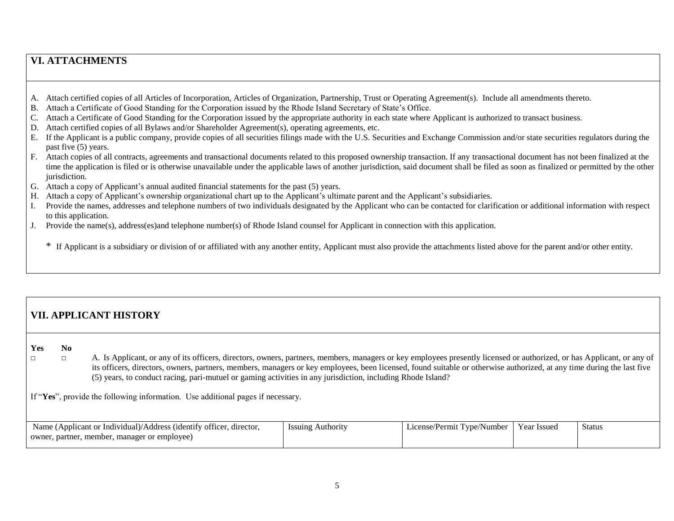## **VI. ATTACHMENTS**

- A. Attach certified copies of all Articles of Incorporation, Articles of Organization, Partnership, Trust or Operating Agreement(s). Include all amendments thereto.
- B. Attach a Certificate of Good Standing for the Corporation issued by the Rhode Island Secretary of State's Office.
- C. Attach a Certificate of Good Standing for the Corporation issued by the appropriate authority in each state where Applicant is authorized to transact business.
- D. Attach certified copies of all Bylaws and/or Shareholder Agreement(s), operating agreements, etc.
- E. If the Applicant is a public company, provide copies of all securities filings made with the U.S. Securities and Exchange Commission and/or state securities regulators during the past five (5) years.
- F. Attach copies of all contracts, agreements and transactional documents related to this proposed ownership transaction. If any transactional document has not been finalized at the time the application is filed or is otherwise unavailable under the applicable laws of another jurisdiction, said document shall be filed as soon as finalized or permitted by the other jurisdiction.
- G. Attach a copy of Applicant's annual audited financial statements for the past (5) years.
- H. Attach a copy of Applicant's ownership organizational chart up to the Applicant's ultimate parent and the Applicant's subsidiaries.
- I. Provide the names, addresses and telephone numbers of two individuals designated by the Applicant who can be contacted for clarification or additional information with respect to this application.
- J. Provide the name(s), address(es)and telephone number(s) of Rhode Island counsel for Applicant in connection with this application.

\* If Applicant is a subsidiary or division of or affiliated with any another entity, Applicant must also provide the attachments listed above for the parent and/or other entity.

# **VII. APPLICANT HISTORY**

**Yes No**

□ A. Is Applicant, or any of its officers, directors, owners, partners, members, managers or key employees presently licensed or authorized, or has Applicant, or any of its officers, directors, owners, partners, members, managers or key employees, been licensed, found suitable or otherwise authorized, at any time during the last five (5) years, to conduct racing, pari-mutuel or gaming activities in any jurisdiction, including Rhode Island?

If "**Yes**", provide the following information. Use additional pages if necessary.

| Name<br>·1dent1fv،<br>, director.<br>v officer<br>Anr<br>1cant<br>Address<br>Individual) | <i>Issuing</i><br><b>Authority</b> | /Number<br>l vne<br>hcense<br>'ermit | ′ear<br>- Issuec | Status |
|------------------------------------------------------------------------------------------|------------------------------------|--------------------------------------|------------------|--------|
| member<br>manager or employee)<br>ownei,<br>partner                                      |                                    |                                      |                  |        |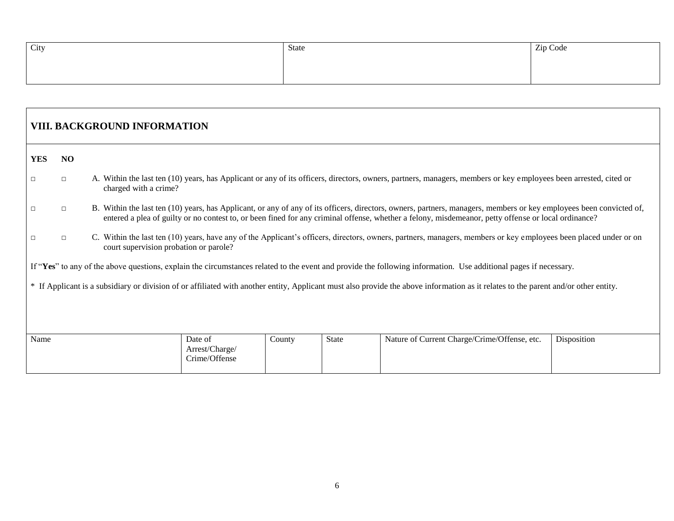| City | State | Zip Code |
|------|-------|----------|
|      |       |          |
|      |       |          |

|            | <b>VIII. BACKGROUND INFORMATION</b>                                                                                                                                                 |                                                                                                                                                                                                                                                                                                                            |  |  |  |  |  |  |  |  |
|------------|-------------------------------------------------------------------------------------------------------------------------------------------------------------------------------------|----------------------------------------------------------------------------------------------------------------------------------------------------------------------------------------------------------------------------------------------------------------------------------------------------------------------------|--|--|--|--|--|--|--|--|
| <b>YES</b> | NO                                                                                                                                                                                  |                                                                                                                                                                                                                                                                                                                            |  |  |  |  |  |  |  |  |
| $\Box$     | $\Box$                                                                                                                                                                              | A. Within the last ten (10) years, has Applicant or any of its officers, directors, owners, partners, managers, members or key employees been arrested, cited or<br>charged with a crime?                                                                                                                                  |  |  |  |  |  |  |  |  |
| $\Box$     | $\Box$                                                                                                                                                                              | B. Within the last ten (10) years, has Applicant, or any of any of its officers, directors, owners, partners, managers, members or key employees been convicted of,<br>entered a plea of guilty or no contest to, or been fined for any criminal offense, whether a felony, misdemeanor, petty offense or local ordinance? |  |  |  |  |  |  |  |  |
| $\Box$     | $\Box$                                                                                                                                                                              | C. Within the last ten (10) years, have any of the Applicant's officers, directors, owners, partners, managers, members or key employees been placed under or on<br>court supervision probation or parole?                                                                                                                 |  |  |  |  |  |  |  |  |
|            |                                                                                                                                                                                     | If "Yes" to any of the above questions, explain the circumstances related to the event and provide the following information. Use additional pages if necessary.                                                                                                                                                           |  |  |  |  |  |  |  |  |
|            | * If Applicant is a subsidiary or division of or affiliated with another entity, Applicant must also provide the above information as it relates to the parent and/or other entity. |                                                                                                                                                                                                                                                                                                                            |  |  |  |  |  |  |  |  |
| Name       | Nature of Current Charge/Crime/Offense, etc.<br>Disposition<br>State<br>Date of<br>County<br>Arrest/Charge/<br>Crime/Offense                                                        |                                                                                                                                                                                                                                                                                                                            |  |  |  |  |  |  |  |  |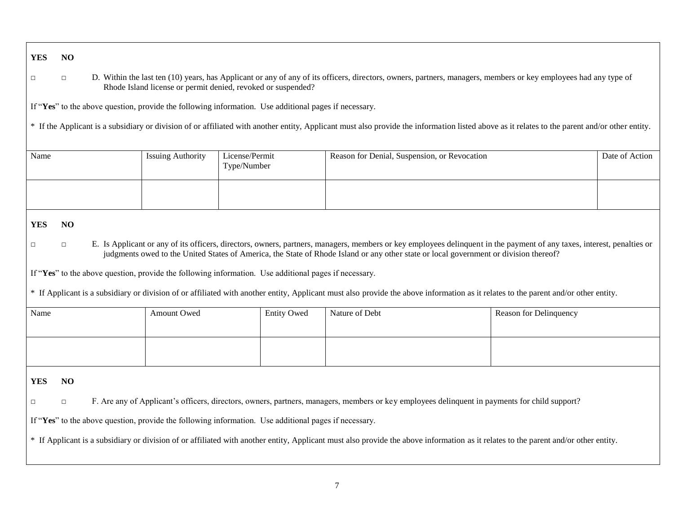**YES NO**

□ □ D. Within the last ten (10) years, has Applicant or any of any of its officers, directors, owners, partners, managers, members or key employees had any type of Rhode Island license or permit denied, revoked or suspended?

If "**Yes**" to the above question, provide the following information. Use additional pages if necessary.

\* If the Applicant is a subsidiary or division of or affiliated with another entity, Applicant must also provide the information listed above as it relates to the parent and/or other entity.

| Name | <b>Issuing Authority</b> | License/Permit<br>Type/Number | Reason for Denial, Suspension, or Revocation | Date of Action |
|------|--------------------------|-------------------------------|----------------------------------------------|----------------|
|      |                          |                               |                                              |                |

#### **YES NO**

□ □ E. Is Applicant or any of its officers, directors, owners, partners, managers, members or key employees delinquent in the payment of any taxes, interest, penalties or judgments owed to the United States of America, the State of Rhode Island or any other state or local government or division thereof?

If "**Yes**" to the above question, provide the following information. Use additional pages if necessary.

\* If Applicant is a subsidiary or division of or affiliated with another entity, Applicant must also provide the above information as it relates to the parent and/or other entity.

| Name | Amount Owed | <b>Entity Owed</b> | Nature of Debt | Reason for Delinquency |
|------|-------------|--------------------|----------------|------------------------|
|      |             |                    |                |                        |
|      |             |                    |                |                        |
|      |             |                    |                |                        |

**YES NO**

□ □ F. Are any of Applicant's officers, directors, owners, partners, managers, members or key employees delinquent in payments for child support?

If "**Yes**" to the above question, provide the following information. Use additional pages if necessary.

\* If Applicant is a subsidiary or division of or affiliated with another entity, Applicant must also provide the above information as it relates to the parent and/or other entity.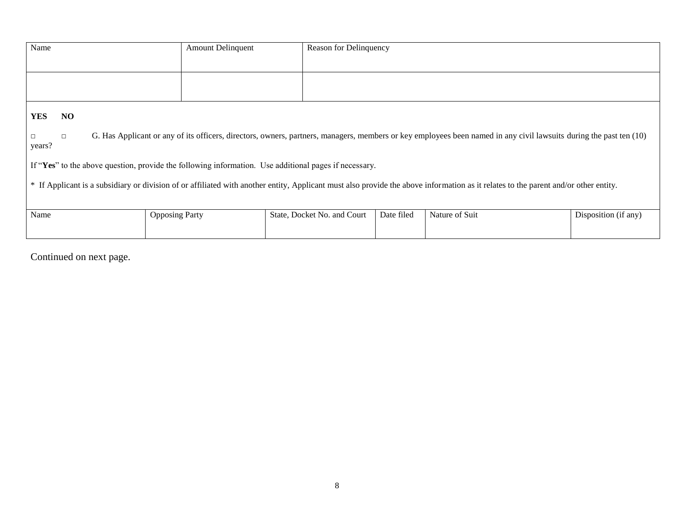| Name                                                                                                                                                                                | <b>Amount Delinquent</b>                                                                              | Reason for Delinquency      |            |                                                                                                                                                                    |                      |  |
|-------------------------------------------------------------------------------------------------------------------------------------------------------------------------------------|-------------------------------------------------------------------------------------------------------|-----------------------------|------------|--------------------------------------------------------------------------------------------------------------------------------------------------------------------|----------------------|--|
|                                                                                                                                                                                     |                                                                                                       |                             |            |                                                                                                                                                                    |                      |  |
|                                                                                                                                                                                     |                                                                                                       |                             |            |                                                                                                                                                                    |                      |  |
|                                                                                                                                                                                     |                                                                                                       |                             |            |                                                                                                                                                                    |                      |  |
| <b>YES</b><br><b>NO</b>                                                                                                                                                             |                                                                                                       |                             |            |                                                                                                                                                                    |                      |  |
| $\Box$<br>years?                                                                                                                                                                    |                                                                                                       |                             |            | G. Has Applicant or any of its officers, directors, owners, partners, managers, members or key employees been named in any civil lawsuits during the past ten (10) |                      |  |
|                                                                                                                                                                                     | If "Yes" to the above question, provide the following information. Use additional pages if necessary. |                             |            |                                                                                                                                                                    |                      |  |
| * If Applicant is a subsidiary or division of or affiliated with another entity, Applicant must also provide the above information as it relates to the parent and/or other entity. |                                                                                                       |                             |            |                                                                                                                                                                    |                      |  |
| Name                                                                                                                                                                                | <b>Opposing Party</b>                                                                                 | State, Docket No. and Court | Date filed | Nature of Suit                                                                                                                                                     | Disposition (if any) |  |

Continued on next page.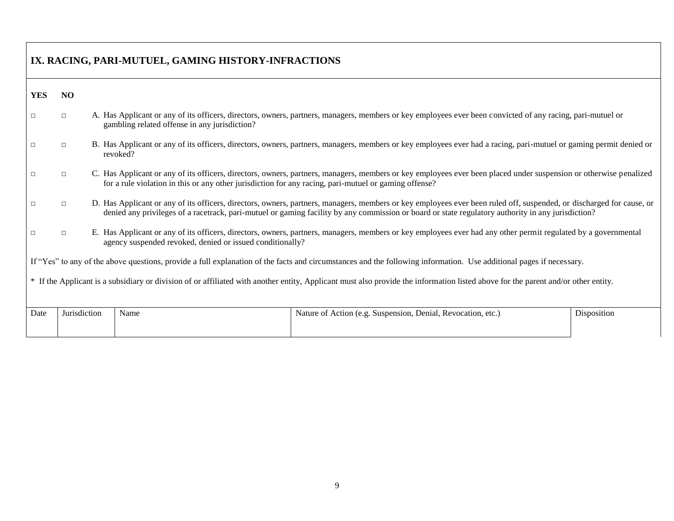| IX. RACING, PARI-MUTUEL, GAMING HISTORY-INFRACTIONS                                                                                                                               |              |                                                                                                                                                                                                                                                                                                                            |  |
|-----------------------------------------------------------------------------------------------------------------------------------------------------------------------------------|--------------|----------------------------------------------------------------------------------------------------------------------------------------------------------------------------------------------------------------------------------------------------------------------------------------------------------------------------|--|
| <b>YES</b>                                                                                                                                                                        | NO           |                                                                                                                                                                                                                                                                                                                            |  |
| □                                                                                                                                                                                 | $\Box$       | A. Has Applicant or any of its officers, directors, owners, partners, managers, members or key employees ever been convicted of any racing, pari-mutuel or<br>gambling related offense in any jurisdiction?                                                                                                                |  |
| $\Box$                                                                                                                                                                            | $\Box$       | B. Has Applicant or any of its officers, directors, owners, partners, managers, members or key employees ever had a racing, pari-mutuel or gaming permit denied or<br>revoked?                                                                                                                                             |  |
| $\Box$                                                                                                                                                                            | $\Box$       | C. Has Applicant or any of its officers, directors, owners, partners, managers, members or key employees ever been placed under suspension or otherwise penalized<br>for a rule violation in this or any other jurisdiction for any racing, pari-mutuel or gaming offense?                                                 |  |
| □                                                                                                                                                                                 | $\Box$       | D. Has Applicant or any of its officers, directors, owners, partners, managers, members or key employees ever been ruled off, suspended, or discharged for cause, or<br>denied any privileges of a racetrack, pari-mutuel or gaming facility by any commission or board or state regulatory authority in any jurisdiction? |  |
| □                                                                                                                                                                                 | $\Box$       | E. Has Applicant or any of its officers, directors, owners, partners, managers, members or key employees ever had any other permit regulated by a governmental<br>agency suspended revoked, denied or issued conditionally?                                                                                                |  |
|                                                                                                                                                                                   |              | If "Yes" to any of the above questions, provide a full explanation of the facts and circumstances and the following information. Use additional pages if necessary.                                                                                                                                                        |  |
| * If the Applicant is a subsidiary or division of or affiliated with another entity, Applicant must also provide the information listed above for the parent and/or other entity. |              |                                                                                                                                                                                                                                                                                                                            |  |
| Date                                                                                                                                                                              | Jurisdiction | Nature of Action (e.g. Suspension, Denial, Revocation, etc.)<br>Name<br>Disposition                                                                                                                                                                                                                                        |  |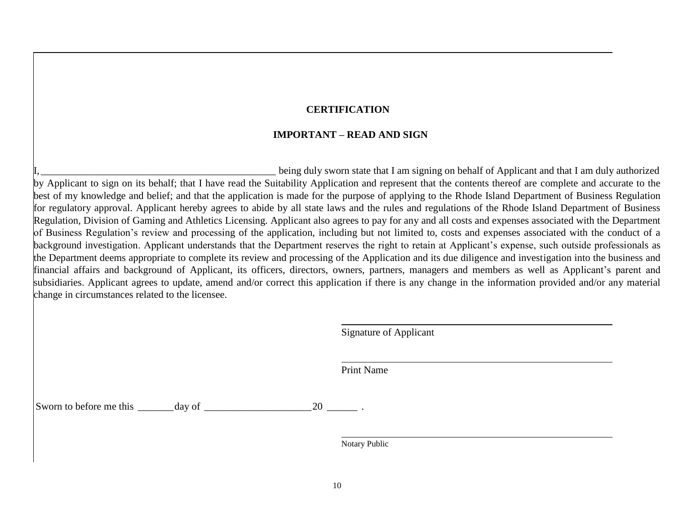#### **CERTIFICATION**

#### **IMPORTANT – READ AND SIGN**

being duly sworn state that I am signing on behalf of Applicant and that I am duly authorized by Applicant to sign on its behalf; that I have read the Suitability Application and represent that the contents thereof are complete and accurate to the best of my knowledge and belief; and that the application is made for the purpose of applying to the Rhode Island Department of Business Regulation for regulatory approval. Applicant hereby agrees to abide by all state laws and the rules and regulations of the Rhode Island Department of Business Regulation, Division of Gaming and Athletics Licensing. Applicant also agrees to pay for any and all costs and expenses associated with the Department of Business Regulation's review and processing of the application, including but not limited to, costs and expenses associated with the conduct of a background investigation. Applicant understands that the Department reserves the right to retain at Applicant's expense, such outside professionals as the Department deems appropriate to complete its review and processing of the Application and its due diligence and investigation into the business and financial affairs and background of Applicant, its officers, directors, owners, partners, managers and members as well as Applicant's parent and subsidiaries. Applicant agrees to update, amend and/or correct this application if there is any change in the information provided and/or any material change in circumstances related to the licensee.

Signature of Applicant

Print Name

Sworn to before me this \_\_\_\_\_\_\_day of \_\_\_\_\_\_\_\_\_\_\_\_\_\_\_\_\_\_\_\_\_20 \_\_\_\_\_\_ .

Notary Public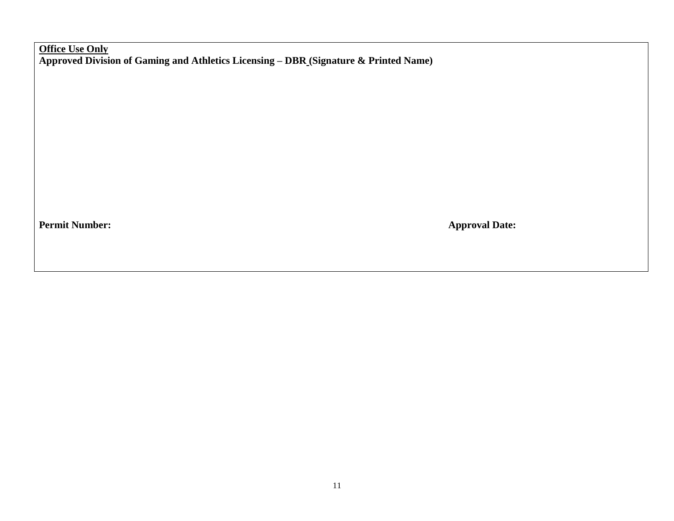**Office Use Only Approved Division of Gaming and Athletics Licensing – DBR (Signature & Printed Name)**

**Permit Number:** Approval Date: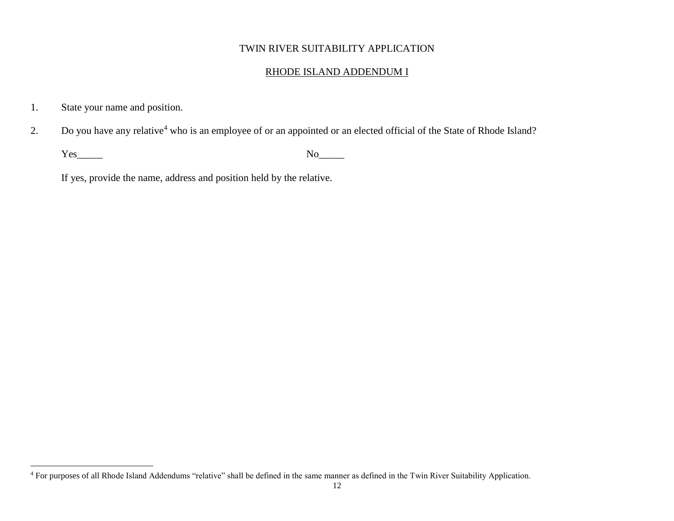## RHODE ISLAND ADDENDUM I

1. State your name and position.

 $\overline{a}$ 

2. Do you have any relative<sup>4</sup> who is an employee of or an appointed or an elected official of the State of Rhode Island?

Yes\_\_\_\_\_ No\_\_\_\_\_

If yes, provide the name, address and position held by the relative.

<sup>&</sup>lt;sup>4</sup> For purposes of all Rhode Island Addendums "relative" shall be defined in the same manner as defined in the Twin River Suitability Application.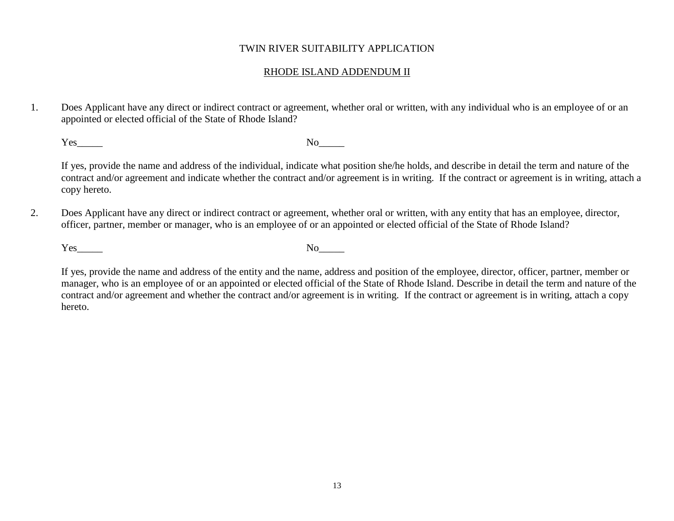#### RHODE ISLAND ADDENDUM II

1. Does Applicant have any direct or indirect contract or agreement, whether oral or written, with any individual who is an employee of or an appointed or elected official of the State of Rhode Island?

Yes\_\_\_\_\_ No\_\_\_\_\_

If yes, provide the name and address of the individual, indicate what position she/he holds, and describe in detail the term and nature of the contract and/or agreement and indicate whether the contract and/or agreement is in writing. If the contract or agreement is in writing, attach a copy hereto.

2. Does Applicant have any direct or indirect contract or agreement, whether oral or written, with any entity that has an employee, director, officer, partner, member or manager, who is an employee of or an appointed or elected official of the State of Rhode Island?

Yes No

If yes, provide the name and address of the entity and the name, address and position of the employee, director, officer, partner, member or manager, who is an employee of or an appointed or elected official of the State of Rhode Island. Describe in detail the term and nature of the contract and/or agreement and whether the contract and/or agreement is in writing. If the contract or agreement is in writing, attach a copy hereto.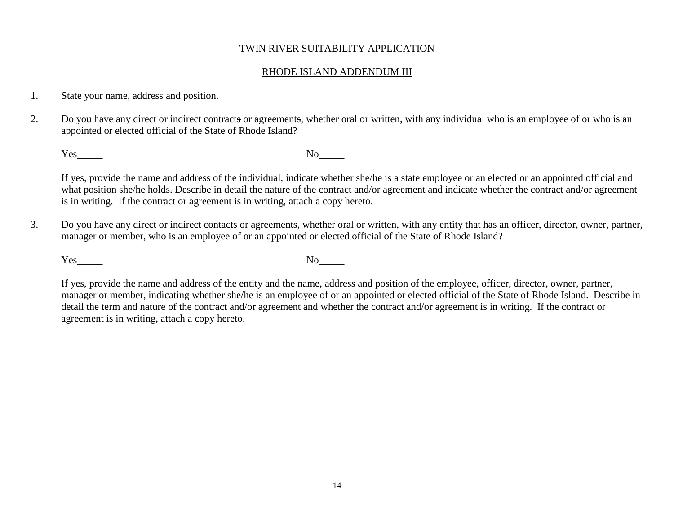#### RHODE ISLAND ADDENDUM III

- 1. State your name, address and position.
- 2. Do you have any direct or indirect contracts or agreements, whether oral or written, with any individual who is an employee of or who is an appointed or elected official of the State of Rhode Island?

Yes No

If yes, provide the name and address of the individual, indicate whether she/he is a state employee or an elected or an appointed official and what position she/he holds. Describe in detail the nature of the contract and/or agreement and indicate whether the contract and/or agreement is in writing. If the contract or agreement is in writing, attach a copy hereto.

3. Do you have any direct or indirect contacts or agreements, whether oral or written, with any entity that has an officer, director, owner, partner, manager or member, who is an employee of or an appointed or elected official of the State of Rhode Island?

Yes\_\_\_\_\_ No\_\_\_\_\_

If yes, provide the name and address of the entity and the name, address and position of the employee, officer, director, owner, partner, manager or member, indicating whether she/he is an employee of or an appointed or elected official of the State of Rhode Island. Describe in detail the term and nature of the contract and/or agreement and whether the contract and/or agreement is in writing. If the contract or agreement is in writing, attach a copy hereto.